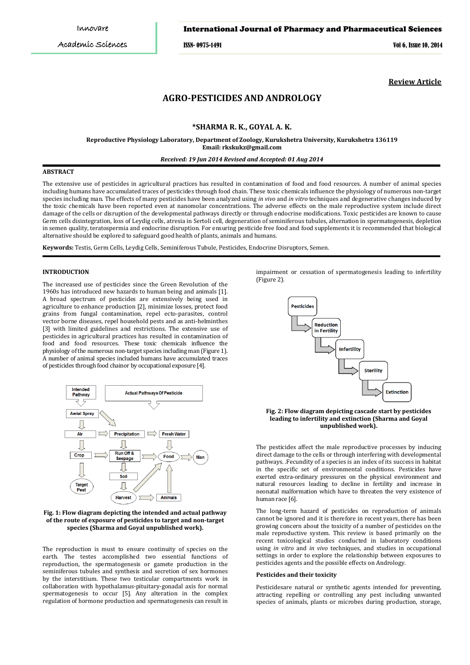## International Journal of Pharmacy and Pharmaceutical Sciences

ISSN- 0975-1491 Vol 6, Issue 10, 2014

**Review Article**

# **AGRO-PESTICIDES AND ANDROLOGY**

## **\*SHARMA R. K., GOYAL A. K.**

**Reproductive Physiology Laboratory, Department of Zoology, Kurukshetra University, Kurukshetra 136119 Email: rkskukz@gmail.com**

## *Received: 19 Jun 2014 Revised and Accepted: 01 Aug 2014*

## **ABSTRACT**

The extensive use of pesticides in agricultural practices has resulted in contamination of food and food resources. A number of animal species including humans have accumulated traces of pesticides through food chain. These toxic chemicals influence the physiology of numerous non-target species including man. The effects of many pesticides have been analyzed using *in vivo* and *in vitro* techniques and degenerative changes induced by the toxic chemicals have been reported even at nanomolar concentrations. The adverse effects on the male reproductive system include direct damage of the cells or disruption of the developmental pathways directly or through endocrine modifications. Toxic pesticides are known to cause Germ cells disintegration, loss of Leydig cells, atresia in Sertoli cell, degeneration of seminiferous tubules, alternation in spermatogenesis, depletion in semen quality, teratospermia and endocrine disruption. For ensuring pesticide free food and food supplements it is recommended that biological alternative should be explored to safeguard good health of plants, animals and humans.

**Keywords:** Testis, Germ Cells, Leydig Cells, Seminiferous Tubule, Pesticides, Endocrine Disruptors, Semen.

## **INTRODUCTION**

The increased use of pesticides since the Green Revolution of the 1960s has introduced new hazards to human being and animals [1]. A broad spectrum of pesticides are extensively being used in agriculture to enhance production [2], minimize losses, protect food grains from fungal contamination, repel ecto-parasites, control vector borne diseases, repel household pests and as anti-helminthes [3] with limited guidelines and restrictions. The extensive use of pesticides in agricultural practices has resulted in contamination of food and food resources. These toxic chemicals influence the physiology of the numerous non-target species including man (Figure 1). A number of animal species included humans have accumulated traces of pesticides through food chainor by occupational exposure [4].



#### **Fig. 1: Flow diagram depicting the intended and actual pathway of the route of exposure of pesticides to target and non-target species (Sharma and Goyal unpublished work).**

The reproduction is must to ensure continuity of species on the earth. The testes accomplished two essential functions of reproduction, the spermatogenesis or gamete production in the seminiferous tubules and synthesis and secretion of sex hormones by the interstitium. These two testicular compartments work in collaboration with hypothalamus-pituitary-gonadal axis for normal spermatogenesis to occur [5]. Any alteration in the complex regulation of hormone production and spermatogenesis can result in impairment or cessation of spermatogenesis leading to infertility (Figure 2).



### **Fig. 2: Flow diagram depicting cascade start by pesticides leading to infertility and extinction (Sharma and Goyal unpublished work).**

The pesticides affect the male reproductive processes by inducing direct damage to the cells or through interfering with developmental pathways. .Fecundity of a species is an index of its success in habitat in the specific set of environmental conditions. Pesticides have exerted extra-ordinary pressures on the physical environment and natural resources leading to decline in fertility and increase in neonatal malformation which have to threaten the very existence of human race [6].

The long-term hazard of pesticides on reproduction of animals cannot be ignored and it is therefore in recent years, there has been growing concern about the toxicity of a number of pesticides on the male reproductive system. This review is based primarily on the recent toxicological studies conducted in laboratory conditions using *in vitro* and *in vivo* techniques, and studies in occupational settings in order to explore the relationship between exposures to pesticides agents and the possible effects on Andrology.

### **Pesticides and their toxicity**

Pesticidesare natural or synthetic agents intended for preventing, attracting repelling or controlling any pest including unwanted species of animals, plants or microbes during production, storage,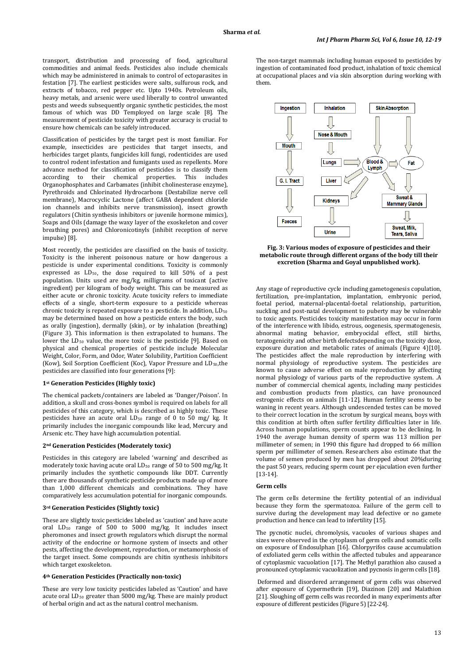transport, distribution and processing of food, agricultural commodities and animal feeds. Pesticides also include chemicals which may be administered in animals to control of ectoparasites in festation [7]. The earliest pesticides were salts, sulfurous rock, and extracts of tobacco, red pepper etc. Upto 1940s. Petroleum oils, heavy metals, and arsenic were used liberally to control unwanted pests and weeds subsequently organic synthetic pesticides, the most famous of which was DD Temployed on large scale [8]. The measurement of pesticide toxicity with greater accuracy is crucial to ensure how chemicals can be safely introduced.

Classification of pesticides by the target pest is most familiar. For example, insecticides are pesticides that target insects, and herbicides target plants, fungicides kill fungi, rodenticides are used to control rodent infestation and fumigants used as repellents. More advance method for classification of pesticides is to classify them<br>according to their chemical properties. This includes according to their chemical properties. Organophosphates and Carbamates (inhibit cholinesterase enzyme), Pyrethroids and Chlorinated Hydrocarbons (Destabilize nerve cell membrane), Macrocyclic Lactone (affect GABA dependent chloride ion channels and inhibits nerve transmission), insect growth regulators (Chitin synthesis inhibitors or juvenile hormone mimics), Soaps and Oils (damage the waxy layer of the exoskeleton and cover breathing pores) and Chloronicotinyls (inhibit reception of nerve impulse) [8].

Most recently, the pesticides are classified on the basis of toxicity. Toxicity is the inherent poisonous nature or how dangerous a pesticide is under experimental conditions. Toxicity is commonly expressed as  $LD_{50}$ , the dose required to kill  $50\%$  of a pest population. Units used are mg/kg, milligrams of toxicant (active ingredient) per kilogram of body weight. This can be measured as either acute or chronic toxicity. Acute toxicity refers to immediate effects of a single, short-term exposure to a pesticide whereas chronic toxicity is repeated exposure to a pesticide. In addition, LD<sub>50</sub> may be determined based on how a pesticide enters the body, such as orally (ingestion), dermally (skin), or by inhalation (breathing) (Figure 3). This information is then extrapolated to humans. The lower the LD<sub>50</sub> value, the more toxic is the pesticide [9]. Based on physical and chemical properties of pesticide include Molecular Weight, Color, Form, and Odor, Water Solubility, Partition Coefficient (Kow), Soil Sorption Coefficient (Koc), Vapor Pressure and LD<sub>50</sub>,the pesticides are classified into four generations [9]:

#### **1 st Generation Pesticides (Highly toxic)**

The chemical packets/containers are labeled as 'Danger/Poison'. In addition, a skull and cross-bones symbol is required on labels for all pesticides of this category, which is described as highly toxic. These  $p$ esticides have an acute oral  $LD_{50}$  range of 0 to 50 mg/ kg. It primarily includes the inorganic compounds like lead, Mercury and Arsenic etc. They have high accumulation potential.

#### **2 nd Generation Pesticides (Moderately toxic)**

Pesticides in this category are labeled 'warning' and described as moderately toxic having acute oral LD 50 range of 50 to 500 mg/kg. It primarily includes the synthetic compounds like DDT. Currently there are thousands of synthetic pesticide products made up of more than 1,000 different chemicals and combinations. They have comparatively less accumulation potential for inorganic compounds.

#### **3 rd Generation Pesticides (Slightly toxic)**

These are slightly toxic pesticides labeled as 'caution' and have acute oral LD 50 range of 500 to 5000 mg/kg. It includes insect pheromones and insect growth regulators which disrupt the normal activity of the endocrine or hormone system of insects and other pests, affecting the development, reproduction, or metamorphosis of the target insect. Some compounds are chitin synthesis inhibitors which target exoskeleton.

#### **4 th Generation Pesticides (Practically non-toxic)**

These are very low toxicity pesticides labeled as 'Caution' and have acute oral LD 50 greater than 5000 mg/kg. These are mainly product of herbal origin and act as the natural control mechanism.

The non-target mammals including human exposed to pesticides by ingestion of contaminated food product, inhalation of toxic chemical at occupational places and via skin absorption during working with them.



**Fig. 3: Various modes of exposure of pesticides and their metabolic route through different organs of the body till their excretion (Sharma and Goyal unpublished work).**

Any stage of reproductive cycle including gametogenesis copulation, fertilization, pre-implantation, implantation, embryonic period, foetal period, maternal-placental-foetal relationship, parturition, suckling and post-natal development to puberty may be vulnerable to toxic agents. Pesticides toxicity manifestation may occur in form of the interference with libido, estrous, oogenesis, spermatogenesis, abnormal mating behavior, embryocidal effect, still births, teratogenicity and other birth defectsdepending on the toxicity dose, exposure duration and metabolic rates of animals (Figure 4)[10]. The pesticides affect the male reproduction by interfering with normal physiology of reproductive system. The pesticides are known to cause adverse effect on male reproduction by affecting normal physiology of various parts of the reproductive system. .A number of commercial chemical agents, including many pesticides and combustion products from plastics, can have pronounced estrogenic effects on animals [11-12]. Human fertility seems to be waning in recent years. Although undescended testes can be moved to their correct location in the scrotum by surgical means, boys with this condition at birth often suffer fertility difficulties later in life. Across human populations, sperm counts appear to be declining. In 1940 the average human density of sperm was 113 million per millimeter of semen; in 1990 this figure had dropped to 66 million sperm per millimeter of semen. Researchers also estimate that the volume of semen produced by men has dropped about 20%during the past 50 years, reducing sperm count per ejaculation even further [13-14].

#### **Germ cells**

The germ cells determine the fertility potential of an individual because they form the spermatozoa. Failure of the germ cell to survive during the development may lead defective or no gamete production and hence can lead to infertility [15].

The pycnotic nuclei, chromolysis, vacuoles of various shapes and sizes were observed in the cytoplasm of germ cells and somatic cells on exposure of Endosulphan [16]. Chlorpyrifos cause accumulation of exfoliated germ cells within the affected tubules and appearance of cytoplasmic vacuolation [17]. The Methyl parathion also caused a pronounced cytoplasmic vacuolization and pycnosis in germ cells [18].

Deformed and disordered arrangement of germ cells was observed after exposure of Cypermethrin [19], Diazinon [20] and Malathion [21]. Sloughing off germ cells was recorded in many experiments after exposure of different pesticides (Figure 5) [22-24].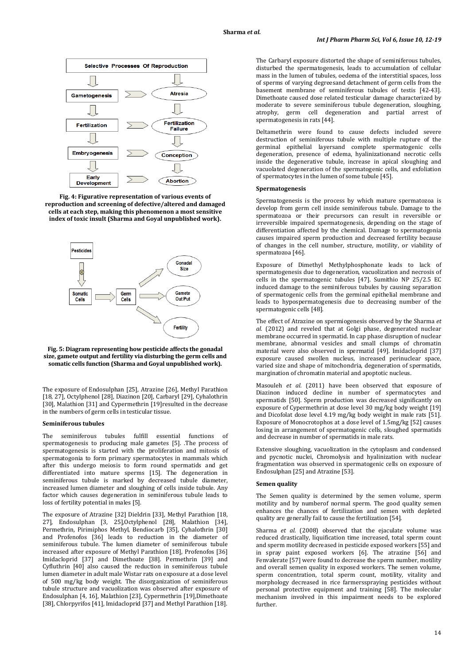

**Fig. 4: Figurative representation of various events of reproduction and screening of defective/altered and damaged cells at each step, making this phenomenon a most sensitive index of toxic insult (Sharma and Goyal unpublished work).**



#### **Fig. 5: Diagram representing how pesticide affects the gonadal size, gamete output and fertility via disturbing the germ cells and somatic cells function (Sharma and Goyal unpublished work).**

The exposure of Endosulphan [25], Atrazine [26], Methyl Parathion [18, 27], Octylphenol [28], Diazinon [20], Carbaryl [29], Cyhalothrin [30], Malathion [31] and Cypermethrin [19]resulted in the decrease in the numbers of germ cells in testicular tissue.

#### **Seminiferous tubules**

The seminiferous tubules fulfill essential functions of spermatogenesis to producing male gametes [5]. .The process of spermatogenesis is started with the proliferation and mitosis of spermatogonia to form primary spermatocytes in mammals which after this undergo meiosis to form round spermatids and get differentiated into mature sperms [15]. The degeneration in seminiferous tubule is marked by decreased tubule diameter, increased lumen diameter and sloughing of cells inside tubule. Any factor which causes degeneration in seminiferous tubule leads to loss of fertility potential in males [5].

The exposure of Atrazine [32] Dieldrin [33], Methyl Parathion [18, 27], Endosulphan [3, 25],Octylphenol [28], Malathion [34], Permethrin, Pirimiphos Methyl, Bendiocarb [35], Cyhalothrin [30] and Profenofos [36] leads to reduction in the diameter of seminiferous tubule. The lumen diameter of seminiferous tubule increased after exposure of Methyl Parathion [18], Profenofos [36] Imidacloprid [37] and Dimethoate [38]. Permethrin [39] and Cyfluthrin [40] also caused the reduction in seminiferous tubule lumen diameter in adult male Wistar rats on exposure at a dose level of 500 mg/kg body weight. The disorganization of seminiferous tubule structure and vacuolization was observed after exposure of Endosulphan [4, 16], Malathion [23], Cypermethrin [19],Dimethoate [38], Chlorpyrifos [41], Imidacloprid [37] and Methyl Parathion [18].

The Carbaryl exposure distorted the shape of seminiferous tubules, disturbed the spermatogenesis, leads to accumulation of cellular mass in the lumen of tubules, oedema of the interstitial spaces, loss of sperms of varying degreesand detachment of germ cells from the basement membrane of seminiferous tubules of testis [42-43]. Dimethoate caused dose related testicular damage characterized by moderate to severe seminiferous tubule degeneration, sloughing, atrophy, germ cell degeneration and partial arrest of spermatogenesis in rats [44].

Deltamethrin were found to cause defects included severe destruction of seminiferous tubule with multiple rupture of the germinal epithelial layersand complete spermatogenic cells degeneration, presence of edema, hyalinizationand necrotic cells inside the degenerative tubule, increase in apical sloughing and vacuolated degeneration of the spermatogenic cells, and exfoliation of spermatocytes in the lumen of some tubule [45].

### **Spermatogenesis**

Spermatogenesis is the process by which mature spermatozoa is develop from germ cell inside seminiferous tubule. Damage to the spermatozoa or their precursors can result in reversible or irreversible impaired spermatogenesis, depending on the stage of differentiation affected by the chemical. Damage to spermatogonia causes impaired sperm production and decreased fertility because of changes in the cell number, structure, motility, or viability of spermatozoa [46].

Exposure of Dimethyl Methylphosphonate leads to lack of spermatogenesis due to degeneration, vacuolization and necrosis of cells in the spermatogenic tubules [47]. Sumithio NP 25/2.5 EC induced damage to the seminiferous tubules by causing separation of spermatogenic cells from the germinal epithelial membrane and leads to hypospermatogenesis due to decreasing number of the spermatogenic cells [48].

The effect of Atrazine on spermiogenesis observed by the Sharma *et al.* (2012) and reveled that at Golgi phase, degenerated nuclear membrane occurred in spermatid. In cap phase disruption of nuclear membrane, abnormal vesicles and small clumps of chromatin material were also observed in spermatid [49]. Imidacloprid [37] exposure caused swollen nucleus, increased perinuclear space, varied size and shape of mitochondria, degeneration of spermatids, margination of chromatin material and apoptotic nucleus.

Masouleh *et al.* (2011) have been observed that exposure of Diazinon induced decline in number of spermatocytes and spermatids [50]. Sperm production was decreased significantly on exposure of Cypermethrin at dose level 30 mg/kg body weight [19] and Dicofolat dose level 4.19 mg/kg body weight in male rats [51]. Exposure of Monocrotophos at a dose level of 1.5mg/kg [52] causes losing in arrangement of spermatogenic cells, sloughed spermatids and decrease in number of spermatids in male rats.

Extensive sloughing, vacuolization in the cytoplasm and condensed and pycnotic nuclei, Chromolysis and hyalinization with nuclear fragmentation was observed in spermatogenic cells on exposure of Endosulphan [25] and Atrazine [53].

#### **Semen quality**

The Semen quality is determined by the semen volume, sperm motility and by numberof normal sperm. The good quality semen enhances the chances of fertilization and semen with depleted quality are generally fail to cause the fertilization [54].

Sharma *et al.* (2008) observed that the ejaculate volume was reduced drastically, liquification time increased, total sperm count and sperm motility decreased in pesticide exposed workers [55] and in spray paint exposed workers [6]. The atrazine [56] and Fenvalerate [57] were found to decrease the sperm number, motility and overall semen quality in exposed workers. The semen volume, sperm concentration, total sperm count, motility, vitality and morphology decreased in rice farmersspraying pesticides without personal protective equipment and training [58]. The molecular mechanism involved in this impairment needs to be explored further.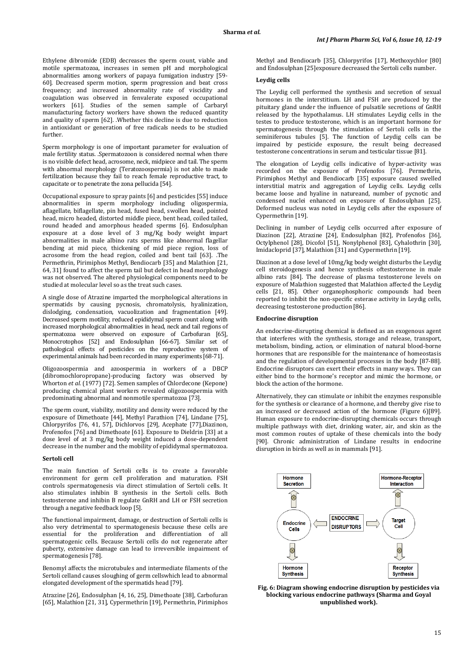Ethylene dibromide (EDB) decreases the sperm count, viable and motile spermatozoa, increases in semen pH and morphological abnormalities among workers of papaya fumigation industry [59- 60]. Decreased sperm motion, sperm progression and beat cross frequency; and increased abnormality rate of viscidity and coagulation was observed in fenvalerate exposed occupational workers [61]. Studies of the semen sample of Carbaryl manufacturing factory workers have shown the reduced quantity and quality of sperm [62]. .Whether this decline is due to reduction in antioxidant or generation of free radicals needs to be studied further.

Sperm morphology is one of important parameter for evaluation of male fertility status. .Spermatozoon is considered normal when there is no visible defect head, acrosome, neck, midpiece and tail. The sperm with abnormal morphology (Teratozoospermia) is not able to made fertilization because they fail to reach female reproductive tract, to capacitate or to penetrate the zona pellucida [54].

Occupational exposure to spray paints [6] and pesticides [55] induce abnormalities in sperm morphology including oligospermia, aflagellate, biflagellate, pin head, fused head, swollen head, pointed head, micro headed, distorted middle piece, bent head, coiled tailed, round headed and amorphous headed sperms [6]. Endosulphan exposure at a dose level of 3 mg/Kg body weight impart abnormalities in male albino rats sperms like abnormal flagellar bending at mid piece, thickening of mid piece region, loss of acrosome from the head region, coiled and bent tail [63]. .The Permethrin, Pirimiphos Methyl, Bendiocarb [35] and Malathion [21, 64, 31] found to affect the sperm tail but defect in head morphology was not observed. The altered physiological components need to be studied at molecular level so as the treat such cases.

A single dose of Atrazine imparted the morphological alterations in spermatids by causing pycnosis, chromatolysis, hyalinization, dislodging, condensation, vacuolization and fragmentation [49]. Decreased sperm motility, reduced epididymal sperm count along with increased morphological abnormalities in head, neck and tail regions of spermatozoa were observed on exposure of Carbofuran [65], Monocrotophos [52] and Endosulphan [66-67]. Similar set of pathological effects of pesticides on the reproductive system of experimental animals had been recorded in many experiments [68-71].

Oligozoospermia and azoospermia in workers of a DBCP (dibromochloropropane)-producing factory was observed by Whorton *et al.* (1977) [72]. Semen samples of Chlordecone (Kepone) producing chemical plant workers revealed oligozoospermia with predominating abnormal and nonmotile spermatozoa [73].

The sperm count, viability, motility and density were reduced by the exposure of Dimethoate [44], Methyl Parathion [74], Lindane [75], Chlorpyrifos [76, 41, 57], Dichlorvos [29], Acephate [77],Diazinon, Profenofos [76] and Dimethoate [61]. Exposure to Dieldrin [33] at a dose level of at 3 mg/kg body weight induced a dose-dependent decrease in the number and the mobility of epididymal spermatozoa.

#### **Sertoli cell**

The main function of Sertoli cells is to create a favorable environment for germ cell proliferation and maturation. FSH controls spermatogenesis via direct stimulation of Sertoli cells. It also stimulates inhibin B synthesis in the Sertoli cells. Both testosterone and inhibin B regulate GnRH and LH or FSH secretion through a negative feedback loop [5].

The functional impairment, damage, or destruction of Sertoli cells is also very detrimental to spermatogenesis because these cells are essential for the proliferation and differentiation of all spermatogenic cells. Because Sertoli cells do not regenerate after puberty, extensive damage can lead to irreversible impairment of spermatogenesis [78].

Benomyl affects the microtubules and intermediate filaments of the Sertoli celland causes sloughing of germ cellswhich lead to abnormal elongated development of the spermatids head [79].

Atrazine [26], Endosulphan [4, 16, 25], Dimethoate [38], Carbofuran [65], Malathion [21, 31], Cypermethrin [19], Permethrin, Pirimiphos

Methyl and Bendiocarb [35], Chlorpyrifos [17], Methoxychlor [80] and Endosulphan [25]exposure decreased the Sertoli cells number.

#### **Leydig cells**

The Leydig cell performed the synthesis and secretion of sexual hormones in the interstitium. LH and FSH are produced by the pituitary gland under the influence of pulsatile secretions of GnRH released by the hypothalamus. LH stimulates Leydig cells in the testes to produce testosterone, which is an important hormone for spermatogenesis through the stimulation of Sertoli cells in the seminiferous tubules [5]. The function of Leydig cells can be impaired by pesticide exposure, the result being decreased testosterone concentrations in serum and testicular tissue [81].

The elongation of Leydig cells indicative of hyper-activity was recorded on the exposure of Profenofos [76]. Permethrin, Pirimiphos Methyl and Bendiocarb [35] exposure caused swelled interstitial matrix and aggregation of Leydig cells. Leydig cells became loose and hyaline in natureand, number of pycnotic and condensed nuclei enhanced on exposure of Endosulphan [25]. Deformed nucleus was noted in Leydig cells after the exposure of Cypermethrin [19].

Declining in number of Leydig cells occurred after exposure of Diazinon [22], Atrazine [24], Endosulphan [82], Profenofos [36], Octylphenol [28], Dicofol [51], Nonylphenol [83], Cyhalothrin [30], Imidacloprid [37], Malathion [31] and Cypermethrin [19].

Diazinon at a dose level of 10mg/kg body weight disturbs the Leydig cell steroidogenesis and hence synthesis oftestosterone in male albino rats [84]. The decrease of plasma testosterone levels on exposure of Malathion suggested that Malathion affected the Leydig cells [21, 85]. Other organophosphoric compounds had been reported to inhibit the non-specific esterase activity in Leydig cells, decreasing testosterone production [86].

## **Endocrine disruption**

An endocrine-disrupting chemical is defined as an exogenous agent that interferes with the synthesis, storage and release, transport, metabolism, binding, action, or elimination of natural blood-borne hormones that are responsible for the maintenance of homeostasis and the regulation of developmental processes in the body [87-88]. Endocrine disruptors can exert their effects in many ways. They can either bind to the hormone's receptor and mimic the hormone, or block the action of the hormone.

Alternatively, they can stimulate or inhibit the enzymes responsible for the synthesis or clearance of a hormone, and thereby give rise to an increased or decreased action of the hormone (Figure 6)[89]. Human exposure to endocrine-disrupting chemicals occurs through multiple pathways with diet, drinking water, air, and skin as the most common routes of uptake of these chemicals into the body [90]. Chronic administration of Lindane results in endocrine disruption in birds as well as in mammals [91].



**Fig. 6: Diagram showing endocrine disruption by pesticides via blocking various endocrine pathways (Sharma and Goyal unpublished work).**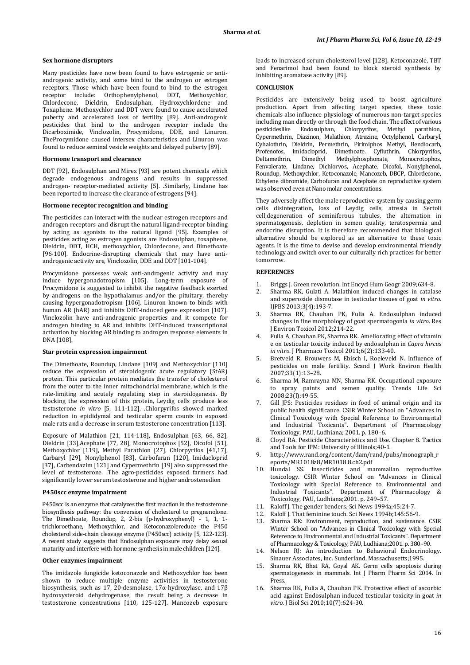#### **Sex hormone disruptors**

Many pesticides have now been found to have estrogenic or antiandrogenic activity, and some bind to the androgen or estrogen receptors. Those which have been found to bind to the estrogen receptor include: Orthophenylphenol, DDT, Methoxychlor, Chlordecone, Dieldrin, Endosulphan, Hydroxychlordene and Toxaphene. Methoxychlor and DDT were found to cause accelerated puberty and accelerated loss of fertility [89]. Anti-androgenic pesticides that bind to the androgen receptor include the Dicarboximide, Vinclozolin, Procymidone, DDE, and Linuron. TheProcymidone caused intersex characteristics and Linuron was found to reduce seminal vesicle weights and delayed puberty [89].

### **Hormone transport and clearance**

DDT [92], Endosulphan and Mirex [93] are potent chemicals which degrade endogenous androgens and results in suppressed androgen- receptor-mediated activity [5]. .Similarly, Lindane has been reported to increase the clearance of estrogens [94].

### **Hormone receptor recognition and binding**

The pesticides can interact with the nuclear estrogen receptors and androgen receptors and disrupt the natural ligand-receptor binding by acting as agonists to the natural ligand [95]. Examples of pesticides acting as estrogen agonists are Endosulphan, toxaphene, Dieldrin, DDT, HCH, methoxychlor, Chlordecone, and Dimethoate [96-100]. Endocrine-disrupting chemicals that may have antiandrogenic activity are, Vinclozolin, DDE and DDT [101-104].

Procymidone possesses weak anti-androgenic activity and may induce hypergonadotropism [105]. Long-term exposure of Procymidone is suggested to inhibit the negative feedback exerted by androgens on the hypothalamus and/or the pituitary, thereby causing hypergonadotropism [106]. Linuron known to binds with human AR (hAR) and inhibits DHT-induced gene expression [107]. Vinclozolin have anti-androgenic properties and it compete for androgen binding to AR and inhibits DHT-induced transcriptional activation by blocking AR binding to androgen response elements in DNA [108].

#### **Star protein expression impairment**

The Dimethoate, Roundup, Lindane [109] and Methoxychlor [110] reduce the expression of steroidogenic acute regulatory (StAR) protein. This particular protein mediates the transfer of cholesterol from the outer to the inner mitochondrial membrane, which is the rate-limiting and acutely regulating step in steroidogenesis. By blocking the expression of this protein, Leydig cells produce less testosterone *in vitro* [5, 111-112]. .Chlorpyrifos showed marked reduction in epididymal and testicular sperm counts in exposed male rats and a decrease in serum testosterone concentration [113].

Exposure of Malathion [21, 114-118], Endosulphan [63, 66, 82], Dieldrin [33],Acephate [77, 28], Monocrotophos [52], Dicofol [51], Methoxychlor [119], Methyl Parathion [27], Chlorpyrifos [41,17], Carbaryl [29], Nonylphenol [83], Carbofuran [120], Imidacloprid [37], Carbendazim [121] and Cypermethrin [19] also suppressed the level of testosterone. .The agro-pesticides exposed farmers had significantly lower serum testosterone and higher androstenedion

### **P450scc enzyme impairment**

P450scc is an enzyme that catalyzes the first reaction in the testosterone biosynthesis pathway: the conversion of cholesterol to pregnenolone. The Dimethoate, Roundup, 2, 2-bis (p-hydroxyphenyl) - 1, 1, 1 trichloroethane, Methoxychlor, and Ketoconazolereduce the P450 cholesterol side-chain cleavage enzyme (P450scc) activity [5, 122-123]. A recent study suggests that Endosulphan exposure may delay sexual maturity and interfere with hormone synthesis in male children [124].

### **Other enzymes impairment**

The imidazole fungicide ketoconazole and Methoxychlor has been shown to reduce multiple enzyme activities in testosterone biosynthesis, such as 17, 20-desmolase, 17α-hydroxylase, and 17β hydroxysteroid dehydrogenase, the result being a decrease in testosterone concentrations [110, 125-127]. Mancozeb exposure

leads to increased serum cholesterol level [128]. Ketoconazole, TBT and Fenarimol had been found to block steroid synthesis by inhibiting aromatase activity [89].

### **CONCLUSION**

Pesticides are extensively being used to boost agriculture production. Apart from affecting target species, these toxic chemicals also influence physiology of numerous non-target species including man directly or through the food chain. The effect of various pesticideslike Endosulphan, Chlorpyrifos, Methyl parathion, pesticideslike Endosulphan, Chlorpyrifos, Methyl parathion, Cypermethrin, Diazinon, Malathion, Atrazine, Octylphenol, Carbaryl, Cyhalothrin, Dieldrin, Permethrin, Pirimiphos Methyl, Bendiocarb, Profenofos, Imidacloprid, Dimethoate. Cyfluthrin, Chlorpyrifos, Methylphosphonate, Fenvalerate, Lindane, Dichlorvos, Acephate, Dicofol, Nonylphenol, Roundup, Methoxychlor, Ketoconazole, Mancozeb, DBCP, Chlordecone, Ethylene dibromide, Carbofuran and Acephate on reproductive system was observed even at Nano molar concentrations.

They adversely affect the male reproductive system by causing germ cells disintegration, loss of Leydig cells, atresia in Sertoli cell,degeneration of seminiferous tubules, the alternation in spermatogenesis, depletion in semen quality, teratospermia and endocrine disruption. It is therefore recommended that biological alternative should be explored as an alternative to these toxic agents. It is the time to devise and develop environmental friendly technology and switch over to our culturally rich practices for better tomorrow.

### **REFERENCES**

- 1. Briggs J. Green revolution. Int Encycl Hum Geogr 2009;634-8.<br>2. Sharma RK, Gulati A. Malathion induced changes in catalas
- 2. Sharma RK, Gulati A. Malathion induced changes in catalase and superoxide dismutase in testicular tissues of goat *in vitro*. IJPBS 2013;3(4):193-7.
- 3. Sharma RK, Chauhan PK, Fulia A. Endosulphan induced changes in fine morphology of goat spermatogonia *in vitro*. Res J Environ Toxicol 2012;214-22.
- 4. Fulia A, Chauhan PK, Sharma RK. Ameliorating effect of vitamin e on testicular toxicity induced by endosulphan in *Capra hircus in vitro*. J Pharmaco Toxicol 2011;6(2):133-40.
- 5. Bretveld R, Brouwers M, Ebisch I, Roeleveld N. Influence of pesticides on male fertility. Scand J Work Environ Health 2007;33(1):13–28.
- 6. Sharma M, Ramrayna MN, Sharma RK. Occupational exposure to spray paints and semen quality. Trends Life Sci 2008;23(l):49-55.
- Gill JPS: Pesticides residues in food of animal origin and its public health significance. CSIR Winter School on "Advances in Clinical Toxicology with Special Reference to Environmental and Industrial Toxicants". Department of Pharmacology Toxicology, PAU, Ludhiana; 2001. p. 180–6.
- 8. Cloyd RA. Pesticide Characteristics and Use. Chapter 8. Tactics and Tools for IPM: University of lllinols;40-1.
- 9. http://www.rand.org/content/dam/rand/pubs/monograph\_r eports/MR1018z8/MR1018.8.ch2.pdf
- 10. Hundal SS. Insecticides and mammalian reproductive toxicology. CSIR Winter School on "Advances in Clinical Toxicology with Special Reference to Environmental and Industrial Toxicants". Department of Pharmacology & Toxicology, PAU, Ludhiana;2001. p. 249–57.
- 
- 11. Raloff J. The gender benders. Sci News 1994a;45:24-7.<br>12. Raloff J. That feminine touch. Sci News 1994b;145:56-9 12. Raloff J. That feminine touch. Sci News 1994b;145:56-9.<br>13. Sharma RK: Environment, reproduction, and sustenanc
- 13. Sharma RK: Environment, reproduction, and sustenance. CSIR Winter School on "Advances in Clinical Toxicology with Special Reference to Environmental and Industrial Toxicants". Department of Pharmacology & Toxicology, PAU, Ludhiana;2001. p. 380–90.
- 14. Nelson RJ: An introduction to Behavioral Endocrinology. Sinauer Associates, Inc. Sunderland, Massachusetts;1995.
- 15. Sharma RK, Bhat RA, Goyal AK. Germ cells apoptosis during spermatogenesis in mammals. Int J Pharm Pharm Sci 2014. In Press.
- 16. Sharma RK, Fulia A, Chauhan PK. Protective effect of ascorbic acid against Endosulphan induced testicular toxicity in goat *in vitro*. J Biol Sci 2010;10(7):624-30.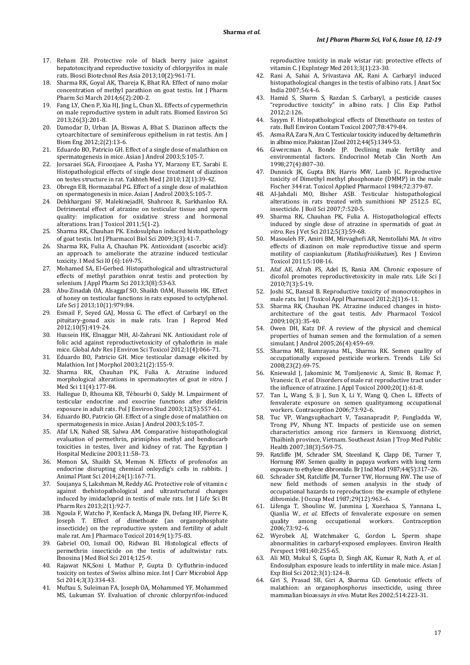- 17. Reham ZH. Protective role of black berry juice against hepatotoxcityand reproductive toxicity of chlorpyrifos in male rats. Biosci Biotechnol Res Asia 2013;10(2):961-71.
- 18. Sharma RK, Goyal AK, Thareja K, Bhat RA. Effect of nano molar concentration of methyl parathion on goat testis. Int J Pharm Pharm Sci March 2014;6(2):200-2.
- 19. Fang LY, Chen P, Xia HJ, Jing L, Chun XL. Effects of cypermethrin on male reproductive system in adult rats. Biomed Environ Sci 2013;26(3):201-8.
- 20. Damodar D, Urban JA, Biswas A, Bhat S. Diazinon affects the cytoarchitecture of seminiferous epithelium in rat testis. Am J Biom Eng 2012;2(2):13-6.
- 21. Eduardo BO, Patricio GH. Effect of a single dose of malathion on spermatogenesis in mice. Asian J Androl 2003;5:105-7.
- 22. Jorsaraei SGA, Firoozjaee A, Pasha YY, Marzony ET, Sarabi E. Histopathological effects of single dose treatment of diazinon on testes structure in rat. Yakhteh Med J 2010;12(1):39-42.
- 23. Obregn EB, Hormazabal PG. Effect of a single dose of malathion on spermatogenesis in mice. Asian J Androl 2003;5:105-7.
- 24. Dehkhargani SF, MalekinejadH, Shahrooz R, Sarkhanloo RA. Detrimental effect of atrazine on testicular tissue and sperm quality: implication for oxidative stress and hormonal alterations. Iran J Toxicol 2011;5(1-2).
- 25. Sharma RK, Chauhan PK. Endosulphan induced histopathology of goat testis. Int J Pharmacol Biol Sci 2009;3(3):41-7.
- 26. Sharma RK, Fulia A, Chauhan PK. Antioxidant (ascorbic acid): an approach to ameliorate the atrazine induced testicular toxicity. I Med Sci l0 (6):169-75.
- 27. Mohamed SA, El-Gerbed. Histopathological and ultrastructural effects of methyl parathion onrat testis and protection by selenium. J Appl Pharm Sci 2013;3(8):53-63.
- 28. Abu-Zinadah OA, Alsaggaf SO, Shaikh OAM, Hussein HK. Effect of honey on testicular functions in rats exposed to octylphenol. Life Sci J 2013;10(1):979:84.
- 29. Esmail F, Seyed GAJ, Mossa G. The effect of Carbaryl on the pituitary-gonad axis in male rats. Iran J Reprod Med 2012;10(5):419-24.
- 30. Hussein HK, Elnaggar MH, Al-Zahrani NK. Antioxidant role of folic acid against reproductivetoxicity of cyhalothrin in male mice. Global Adv Res J Environ Sci Toxicol 2012;1(4):066-71.
- 31. Eduardo BO, Patricio GH. Mice testicular damage elicited by Malathion. Int J Morphol 2003;21(2):155-9.
- 32. Sharma RK, Chauhan PK, Fulia A. Atrazine induced morphological alterations in spermatocytes of goat *in vitro*. J Med Sci 11(4):177-84.
- 33. Hallegue D, Rhouma KB, Tébourbi O, Sakly M. Lmpairment of testicular endocrine and exocrine functions after dieldrin exposure in adult rats. Pol J Environ Stud 2003;12(5):557-61.
- 34. Eduardo BO, Patricio GH. Effect of a single dose of malathion on spermatogenesis in mice. Asian J Androl 2003;5:105-7.
- 35. Afaf LN, Nahed SB, Salwa AM. Comparative histopathological evaluation of permethrin, pirimiphos methyl and bendiocarb toxicities in testes, liver and kidney of rat. The Egyptian J Hospital Medicine 2003;11:58–73.
- 36. Memon SA, Shaikh SA, Memon N. Effects of profenofos an endocrine disrupting chemical onleydig's cells in rabbits. J Animal Plant Sci 2014;24(1):167-71.
- 37. Soujanya S, Lakshman M, Reddy AG. Protective role of vitamin c against thehistopathological and ultrastructural changes induced by imidacloprid in testis of male rats. Int J Life Sci Bt Pharm Res 2013;2(1):92-7.
- 38. Ngoula F, Watcho P, Kenfack A, Manga JN, Defang HF, Pierre K, Joseph T. Effect of dimethoate (an organophosphate insecticide) on the reproductive system and fertility of adult male rat. Am J Pharmaco Toxicol 2014;9(1):75-83.
- 39. Gabriel OO, Ismail OO, Ridwan BI. Histological effects of permethrin insecticide on the testis of adultwistar rats. Ibnosina J Med Biol Sci 2014;125-9.
- 40. Rajawat NK,Soni I, Mathur P, Gupta D. Cyfluthrin-induced toxicity on testes of Swiss albino mice. Int J Curr Microbiol App Sci 2014;3(3):334-43.
- 41. Muftau S, Suleiman FA, Joseph OA, Mohammed YF, Mohammed MS, Lukuman SY. Evaluation of chronic chlorpyrifos-induced

reproductive toxicity in male wistar rat: protective effects of vitamin C. J ExpIntegr Med 2013;3(1):23-30.

- Rani A, Sahai A, Srivastava AK, Rani A. Carbaryl induced histopathological changes in the testis of albino rats. J Anat Soc India 2007;56:4-6.
- 43. Hamid S, Sharm S, Razdan S. Carbaryl, a pesticide causes "reproductive toxicity" in albino rats. J Clin Exp Pathol 2012;2:126.
- 44. Sayym F. Histopathological effects of Dimethoate on testes of rats. Bull Environ Contam Toxicol 2007;78:479-84.
- 45. Asma RA, Zara N, Ara C. Testicular toxicity induced by deltamethrin in albino mice. Pakistan J Zool 2012;44(5):1349-53.
- 46. Giwercman A, Bonde JP. Declining male fertility and environmental factors. Endocrinol Metab Clin North Am 1998;27(4):807–30.
- 47. Dunnick JK, Gupta BN, Harris MW, Lamb JC. Reproductive toxicity of Dimethyl methyl phosphonate (DMMP) in the male Fischer 344 rat. Toxicol Applied Pharmacol 1984;72:379-87.
- 48. AI-JahdaIi MO, Bisher ASB. Testicular histopathological alterations in rats treated with sumithioni NP 2512.5 EC, insecticide. J BoiI Sci 2007;7:520-5.
- 49. Sharma RK, Chauhan PK, Fulia A. Histopathological effects induced by single dose of atrazine in spermatids of goat *in vitro*. Res J Vet Sci 2012;5(3):59-68.
- 50. Masouleh FF, Amiri BM, Mirvaghefi AR, Nemtollahi MA. *In vitro* effects of diazinon on male reproductive tissue and sperm motility of caspiankutum (*Rutilusfrisiikutum*). Res J Environ Toxicol 2011;5:108-16.
- 51. Afaf AE, Afrah FS, Adel IS, Rania AM. Chronic exposure of dicofol promotes reproductivetoxicity in male rats. Life Sci J 2010;7(3):5-19.
- 52. Joshi SC, Bansal B. Reproductive toxicity of monocrotophos in male rats. Int J Toxicol Appl Pharmacol 2012;2(1):6-11.
- 53. Sharma RK, Chauhan PK. Atrazine induced changes in histoarchitecture of the goat testis. Adv Pharmacol Toxicol 2009;10(3):35-40.
- 54. Owen DH, Katz DF. A review of the physical and chemical properties of human semen and the formulation of a semen simulant. J Androl 2005;26(4):459–69.
- 55. Sharma MB, Ramrayana ML, Sharma RK. Semen quality of occupationally exposed pesticide workers. Trends Life Sci 2008;23(2):69-75.
- 56. Kniewald J, Jakominic M, Tomljenovic A, Simic B, Romac P, Vranesic D, *et al.* Disorders of male rat reproductive tract under the influence of atrazine. J Appl Toxicol 2000;20(1):61-8.
- 57. Tan L, Wang S, Ji J, Sun X, Li Y, Wang Q, Chen L. Effects of fenvalerate exposure on semen qualityamong occupational workers. Contraception 2006;73:92–6.
- 58. Tuc VP, Wangsuphachart V, Tasanapradit P, Fungladda W, Trong PV, Nhung NT. Impacts of pesticide use on semen characteristics among rice farmers in Kienxuong district, Thaibinh province, Vietnam. Southeast Asian J Trop Med Public Health 2007;38(3):569-75.
- Ratcliffe JM, Schrader SM, Steenland K, Clapp DE, Turner T, Hornung RW. Semen quality in papaya workers with long term exposure to ethylene dibromide. Br J Ind Med 1987;44(5):317–26.
- 60. Schrader SM, Ratcliffe JM, Turner TW, Hornung RW. The use of new field methods of semen analysis in the study of occupational hazards to reproduction: the example of ethylene dibromide. J Occup Med 1987;29(12):963–6.
- 61. Lifenga T, Shoulinc W, Junmina J, Xuezhaoa S, Yannana L, Qianlia W, *et al*. Effects of fenvalerate exposure on semen quality among occupational workers. Contraception 2006;73:92–6.
- 62. Wyrobek AJ, Watchmaker G, Gordon L. Sperm shape abnormalities in carbaryl-exposed employees. Environ Health Perspect 1981;40:255-65.
- 63. Ali MD, Mukul S, Gupta D, Singh AK, Kumar R, Nath A, *et al.* Endosulphan exposure leads to infertility in male mice. Asian J Exp Biol Sci 2012;3(1):124–8.
- 64. Giri S, Prasad SB, Giri A, Sharma GD. Genotoxic effects of malathion: an organophosphorus insecticide, using three mammalian bioassays *in vivo*. Mutat Res 2002;514:223-31.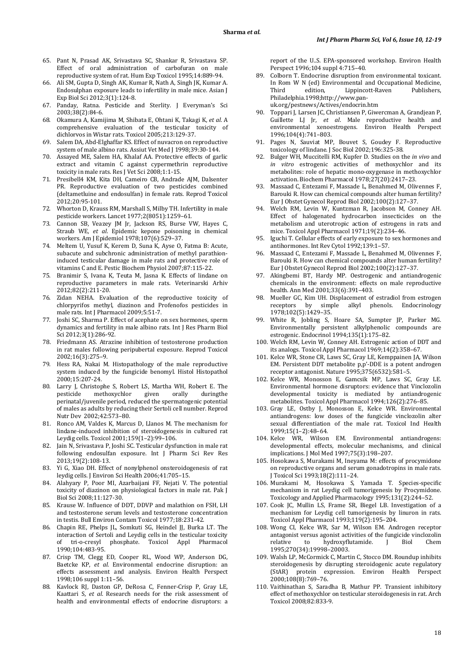- 65. Pant N, Prasad AK, Srivastava SC, Shankar R, Srivastava SP. Effect of oral administration of carbofuran on male reproductive system of rat. Hum Exp Toxicol 1995;14:889-94.
- 66. Ali SM, Gupta D, Singh AK, Kumar R, Nath A, Singh JK, Kumar A. Endosulphan exposure leads to infertility in male mice. Asian J Exp Biol Sci 2012;3(1):124-8.
- 67. Panday, Ratna. Pesticide and Sterlity. J Everyman's Sci 2003;38(2):84-6.
- 68. Okamura A, Kamijima M, Shibata E, Ohtani K, Takagi K, *et al.* A comprehensive evaluation of the testicular toxicity of dichlorvos in Wistar rats. Toxicol 2005;213:129-37.
- 69. Salem DA, Abd-Elghaffar KS. Effect of nuvacron on reproductive system of male albino rats. Assiut Vet Med J 1998;39:30-144.
- 70. Assayed ME, Salem HA, Khalaf AA. Protective effects of garlic extract and vitamin C against cypermethrin reproductive toxicity in male rats. Res J Vet Sci 2008;1:1-15.
- 71. Presibell4 KM, Kita DH, Cameiro CB, Andrade AJM, Dalsenter PR. Reproductive evaluation of two pesticides combined (deltametluine and endosulfan) in female rats. Reprod Toxicol 2012;20:95-101.
- 72. Whorton D, Krauss RM, Marshall S, Milby TH. Infertility in male pesticide workers. Lancet 1977;2(8051):1259–61.
- 73. Cannon SB, Veazey JM Jr, Jackson RS, Burse VW, Hayes C, Straub WE, *et al*. Epidemic kepone poisoning in chemical workers. Am J Epidemiol 1978;107(6):529–37.
- 74. Meltem U, Yusuf K, Kerem D, Suna K, Ayse O, Fatma B: Acute, subacute and subchronic administration of methyl parathioninduced testicular damage in male rats and protective role of vitamins C and E. Pestic Biochem Physiol 2007;87:115-22.
- 75. Branimir S, Ivana K, Teuta M, Jasna K. Effects of lindane on reproductive parameters in male rats. Veterinarski Arhiv 2012;82(2):211-20.
- 76. Zidan NEHA. Evaluation of the reproductive toxicity of chlorpyrifos methyl, diazinon and Profenofos pesticides in male rats. Int J Pharmacol 2009;5:51-7.
- 77. Joshi SC, Sharma P. Effect of acephate on sex hormones, sperm dynamics and fertility in male albino rats. Int J Res Pharm Biol Sci 2012;3(1):286-92.
- 78. Friedmann AS. Atrazine inhibition of testosterone production in rat males following peripubertal exposure. Reprod Toxicol 2002;16(3):275–9.
- 79. Hess RA, Nakai M. Histopathology of the male reproductive system induced by the fungicide benomyl. Histol Histopathol 2000;15:207-24.
- 80. Larry J, Christophe S, Robert LS, Martha WH, Robert E. The pesticide methoxychlor given orally duringthe perinatal/juvenile period, reduced the spermatogenic potential of males as adults by reducing their Sertoli cell number. Reprod Nutr Dev 2002;42:573–80.
- 81. Ronco AM, Valdes K, Marcus D, Llanos M. The mechanism for lindane-induced inhibition of steroidogenesis in cultured rat Leydig cells. Toxicol 2001;159(1–2):99–106.
- 82. Jain N, Srivastava P, Joshi SC. Testicular dysfunction in male rat following endosulfan exposure. Int J Pharm Sci Rev Res 2013;19(2):108-13.
- 83. Yi G, Xiao DH. Effect of nonylphenol onsteroidogenesis of rat leydig cells. J Environ Sci Health 2006;41:705–15.
- 84. Alahyary P, Poor MI, Azarbaijani FF, Nejati V. The potential toxicity of diazinon on physiological factors in male rat. Pak J Biol Sci 2008;11:127-30.
- 85. Krause W. Influence of DDT, DDVP and malathion on FSH, LH and testosterone serum levels and testosterone concentration in testis. Bull Environ Contam Toxicol 1977;18:231-42.
- 86. Chapin RE, Phelps JL, Somkuti SG, Heindel JJ, Burka LT. The interaction of Sertoli and Leydig cells in the testicular toxicity<br>of tri-o-cresyl phosphate. Toxicol Appl Pharmacol phosphate. Toxicol Appl Pharmacol 1990;104:483-95.
- 87. Crisp TM, Clegg ED, Cooper RL, Wood WP, Anderson DG, Baetcke KP, *et al*. Environmental endocrine disruption: an effects assessment and analysis. Environ Health Perspect 1998;106 suppl 1:11–56.
- 88. Kavlock RJ, Daston GP, DeRosa C, Fenner-Crisp P, Gray LE, Kaattari S, *et al*. Research needs for the risk assessment of health and environmental effects of endocrine disruptors: a

report of the U..S. EPA-sponsored workshop. Environ Health Perspect 1996;104 suppl 4:715–40.

- Colborn T. Endocrine disruption from environmental toxicant. In Rom W N (ed) Environmental and Occupational Medicine,<br>Third edition, Lippincott-Raven Publishers, Lippincott-Raven Philadelphia.1998;http://www.panuk.org/pestnews/Actives/endocrin.htm
- 90. Toppari J, Larsen JC, Christiansen P, Giwercman A, Grandjean P,
- Guillette LJ Jr, *et al*. Male reproductive health and environmental xenoestrogens. Environ Health Perspect 1996;104(4):741–803.
- 91. Pages N, Sauviat MP, Bouvet S, Goudey F. Reproductive toxicology of lindane. J Soc Biol 2002;196:325-38.
- 92. Bulger WH, Muccitelli RM, Kupfer D. Studies on the *in vivo* and *in vitro* estrogenic activities of methoxychlor and its metabolites: role of hepatic mono-oxygenase in methoxychlor activation. Biochem Pharmacol 1978;27(20):2417–23.
- 93. Massaad C, Entezami F, Massade L, Benahmed M, Olivennes F, Barouki R. How can chemical compounds alter human fertility? Eur J Obstet Gynecol Reprod Biol 2002;100(2):127–37.
- 94. Welch RM, Levin W, Kuntzman R, Jacobson M, Conney AH. Effect of halogenated hydrocarbon insecticides on the metabolism and uterotropic action of estrogens in rats and mice. Toxicol Appl Pharmacol 1971;19(2):234–46.
- 95. Iguchi T. Cellular effects of early exposure to sex hormones and antihormones. Int Rev Cytol 1992;139:1–57.
- 96. Massaad C, Entezami F, Massade L, Benahmed M, Olivennes F, Barouki R. How can chemical compounds alter human fertility? Eur J Obstet Gynecol Reprod Biol 2002;100(2):127–37.
- 97. Akingbemi BT, Hardy MP. Oestrogenic and antiandrogenic chemicals in the environment: effects on male reproductive health. Ann Med 2001;33(6):391–403.
- 98. Mueller GC, Kim UH. Displacement of estradiol from estrogen receptors by simple alkyl phenols. Endocrinology alkyl phenols. 1978;102(5):1429–35.
- 99. White R, Jobling S, Hoare SA, Sumpter JP, Parker MG. Environmentally persistent alkylphenolic compounds are estrogenic. Endocrinol 1994;135(1):175–82.
- 100. Welch RM, Levin W, Conney AH. Estrogenic action of DDT and its analogs. Toxicol Appl Pharmacol 1969;14(2):358–67.
- 101. Kelce WR, Stone CR, Laws SC, Gray LE, Kemppainen JA, Wilson EM. Persistent DDT metabolite p,p'-DDE is a potent androgen receptor antagonist. Nature 1995;375(6532):581–5.
- 102. Kelce WR, Monosson E, Gamcsik MP, Laws SC, Gray LE. Environmental hormone disruptors: evidence that Vinclozolin developmental toxicity is mediated by antiandrogenic metabolites. Toxicol Appl Pharmacol 1994;126(2):276–85.
- 103. Gray LE, Ostby J, Monosson E, Kelce WR. Environmental antiandrogens: low doses of the fungicide vinclozolin alter sexual differentiation of the male rat. Toxicol Ind Health 1999;15(1–2):48–64.
- 104. Kelce WR, Wilson EM. Environmental antiandrogens: developmental effects, molecular mechanisms, and clinical implications. J Mol Med 1997;75(3):198–207.
- 105. Hosokawa S, Murakami M, Ineyama M: effects of procymidone on reproductive organs and serum gonadotropins in male rats. J Toxicol Sci 1993;18(2):111–24.
- 106. Murakami M, Hosokawa S, Yamada T. Species-specific mechanism in rat Leydig cell tumorigenesis by Procymidone. Toxicology and Applied Pharmacology 1995;131(2):244–52.
- 107. Cook JC, Mullin LS, Frame SR, Biegel LB. Investigation of a mechanism for Leydig cell tumorigenesis by linuron in rats. Toxicol Appl Pharmacol 1993;119(2):195–204.
- 108. Wong CI, Kelce WR, Sar M, Wilson EM. Androgen receptor antagonist versus agonist activities of the fungicide vinclozolin<br>relative to hydroxyflutamide. I Biol Chem hydroxyflutamide. 1995;270(34):19998–20003.
- 109. Walsh LP, McCormick C, Martin C, Stocco DM. Roundup inhibits steroidogenesis by disrupting steroidogenic acute regulatory (StAR) protein expression. Environ Health Perspect 2000;108(8):769–76.
- 110. Vaithinathan S, Saradha B, Mathur PP. Transient inhibitory effect of methoxychlor on testicular steroidogenesis in rat. Arch Toxicol 2008;82:833-9.